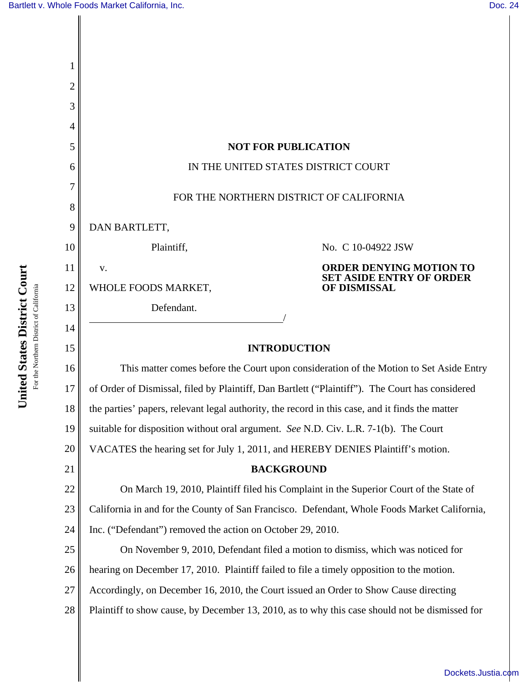| 1      |                                                                                                 |                                                                                   |
|--------|-------------------------------------------------------------------------------------------------|-----------------------------------------------------------------------------------|
| 2      |                                                                                                 |                                                                                   |
| 3      |                                                                                                 |                                                                                   |
| 4      |                                                                                                 |                                                                                   |
| 5      | <b>NOT FOR PUBLICATION</b>                                                                      |                                                                                   |
| 6      | IN THE UNITED STATES DISTRICT COURT                                                             |                                                                                   |
| 7<br>8 | FOR THE NORTHERN DISTRICT OF CALIFORNIA                                                         |                                                                                   |
| 9      | DAN BARTLETT,                                                                                   |                                                                                   |
| 10     | Plaintiff,                                                                                      | No. C 10-04922 JSW                                                                |
| 11     | V.                                                                                              | <b>ORDER DENYING MOTION TO</b><br><b>SET ASIDE ENTRY OF ORDER</b><br>OF DISMISSAL |
| 12     | WHOLE FOODS MARKET,                                                                             |                                                                                   |
| 13     | Defendant.                                                                                      |                                                                                   |
| 14     |                                                                                                 |                                                                                   |
| 15     | <b>INTRODUCTION</b>                                                                             |                                                                                   |
| 16     | This matter comes before the Court upon consideration of the Motion to Set Aside Entry          |                                                                                   |
| 17     | of Order of Dismissal, filed by Plaintiff, Dan Bartlett ("Plaintiff"). The Court has considered |                                                                                   |
| 18     | the parties' papers, relevant legal authority, the record in this case, and it finds the matter |                                                                                   |
| 19     | suitable for disposition without oral argument. See N.D. Civ. L.R. 7-1(b). The Court            |                                                                                   |
| 20     | VACATES the hearing set for July 1, 2011, and HEREBY DENIES Plaintiff's motion.                 |                                                                                   |
| 21     | <b>BACKGROUND</b>                                                                               |                                                                                   |
| 22     | On March 19, 2010, Plaintiff filed his Complaint in the Superior Court of the State of          |                                                                                   |
| 23     | California in and for the County of San Francisco. Defendant, Whole Foods Market California,    |                                                                                   |
| 24     | Inc. ("Defendant") removed the action on October 29, 2010.                                      |                                                                                   |
| 25     | On November 9, 2010, Defendant filed a motion to dismiss, which was noticed for                 |                                                                                   |
| 26     | hearing on December 17, 2010. Plaintiff failed to file a timely opposition to the motion.       |                                                                                   |
| 27     | Accordingly, on December 16, 2010, the Court issued an Order to Show Cause directing            |                                                                                   |
| 28     | Plaintiff to show cause, by December 13, 2010, as to why this case should not be dismissed for  |                                                                                   |
|        |                                                                                                 |                                                                                   |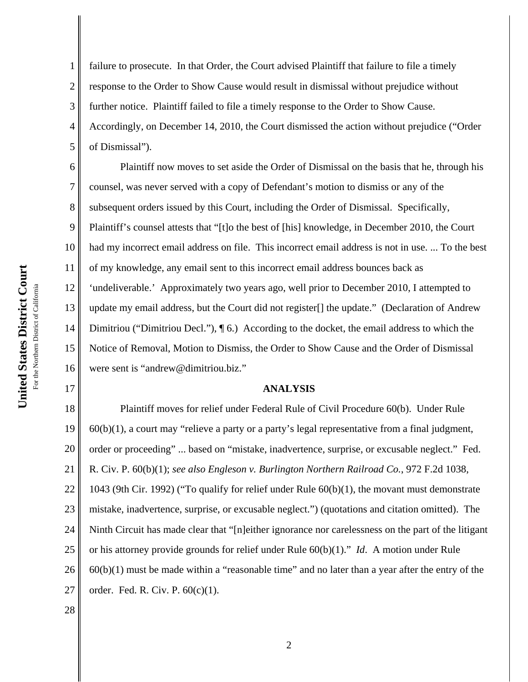7

17

1 2 3 4 5 failure to prosecute. In that Order, the Court advised Plaintiff that failure to file a timely response to the Order to Show Cause would result in dismissal without prejudice without further notice. Plaintiff failed to file a timely response to the Order to Show Cause. Accordingly, on December 14, 2010, the Court dismissed the action without prejudice ("Order of Dismissal").

6 8 9 10 11 12 13 14 15 16 Plaintiff now moves to set aside the Order of Dismissal on the basis that he, through his counsel, was never served with a copy of Defendant's motion to dismiss or any of the subsequent orders issued by this Court, including the Order of Dismissal. Specifically, Plaintiff's counsel attests that "[t]o the best of [his] knowledge, in December 2010, the Court had my incorrect email address on file. This incorrect email address is not in use. ... To the best of my knowledge, any email sent to this incorrect email address bounces back as 'undeliverable.' Approximately two years ago, well prior to December 2010, I attempted to update my email address, but the Court did not register[] the update." (Declaration of Andrew Dimitriou ("Dimitriou Decl."), ¶ 6.) According to the docket, the email address to which the Notice of Removal, Motion to Dismiss, the Order to Show Cause and the Order of Dismissal were sent is "andrew@dimitriou.biz."

## **ANALYSIS**

18 19 20 21 22 23 24 25 26 27 Plaintiff moves for relief under Federal Rule of Civil Procedure 60(b). Under Rule 60(b)(1), a court may "relieve a party or a party's legal representative from a final judgment, order or proceeding" ... based on "mistake, inadvertence, surprise, or excusable neglect." Fed. R. Civ. P. 60(b)(1); *see also Engleson v. Burlington Northern Railroad Co.*, 972 F.2d 1038, 1043 (9th Cir. 1992) ("To qualify for relief under Rule 60(b)(1), the movant must demonstrate mistake, inadvertence, surprise, or excusable neglect.") (quotations and citation omitted). The Ninth Circuit has made clear that "[n]either ignorance nor carelessness on the part of the litigant or his attorney provide grounds for relief under Rule 60(b)(1)." *Id*. A motion under Rule 60(b)(1) must be made within a "reasonable time" and no later than a year after the entry of the order. Fed. R. Civ. P. 60(c)(1).

28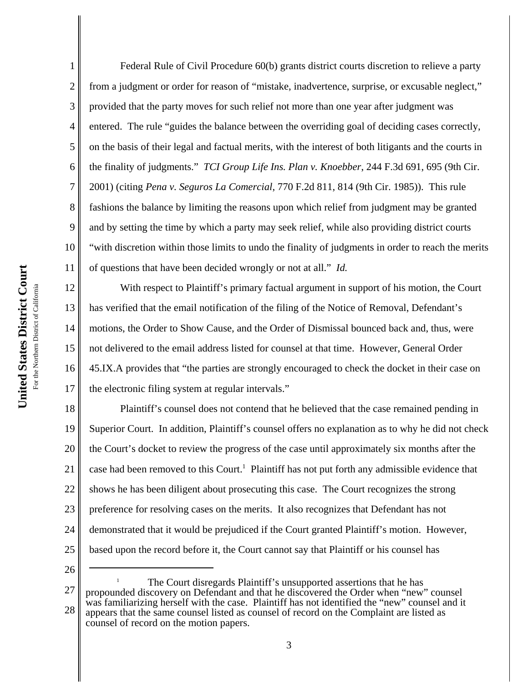1 2 3 4 5 6 7 8 9 10 11 Federal Rule of Civil Procedure 60(b) grants district courts discretion to relieve a party from a judgment or order for reason of "mistake, inadvertence, surprise, or excusable neglect," provided that the party moves for such relief not more than one year after judgment was entered. The rule "guides the balance between the overriding goal of deciding cases correctly, on the basis of their legal and factual merits, with the interest of both litigants and the courts in the finality of judgments." *TCI Group Life Ins. Plan v. Knoebber*, 244 F.3d 691, 695 (9th Cir. 2001) (citing *Pena v. Seguros La Comercial*, 770 F.2d 811, 814 (9th Cir. 1985)). This rule fashions the balance by limiting the reasons upon which relief from judgment may be granted and by setting the time by which a party may seek relief, while also providing district courts "with discretion within those limits to undo the finality of judgments in order to reach the merits of questions that have been decided wrongly or not at all." *Id.*

12 13 14 15 16 17 With respect to Plaintiff's primary factual argument in support of his motion, the Court has verified that the email notification of the filing of the Notice of Removal, Defendant's motions, the Order to Show Cause, and the Order of Dismissal bounced back and, thus, were not delivered to the email address listed for counsel at that time. However, General Order 45.IX.A provides that "the parties are strongly encouraged to check the docket in their case on the electronic filing system at regular intervals."

18 19 20 21 22 23 24 25 Plaintiff's counsel does not contend that he believed that the case remained pending in Superior Court. In addition, Plaintiff's counsel offers no explanation as to why he did not check the Court's docket to review the progress of the case until approximately six months after the case had been removed to this Court.<sup>1</sup> Plaintiff has not put forth any admissible evidence that shows he has been diligent about prosecuting this case. The Court recognizes the strong preference for resolving cases on the merits. It also recognizes that Defendant has not demonstrated that it would be prejudiced if the Court granted Plaintiff's motion. However, based upon the record before it, the Court cannot say that Plaintiff or his counsel has

26

27 28 The Court disregards Plaintiff's unsupported assertions that he has propounded discovery on Defendant and that he discovered the Order when "new" counsel was familiarizing herself with the case. Plaintiff has not identified the "new" counsel and it appears that the same counsel listed as counsel of record on the Complaint are listed as counsel of record on the motion papers.